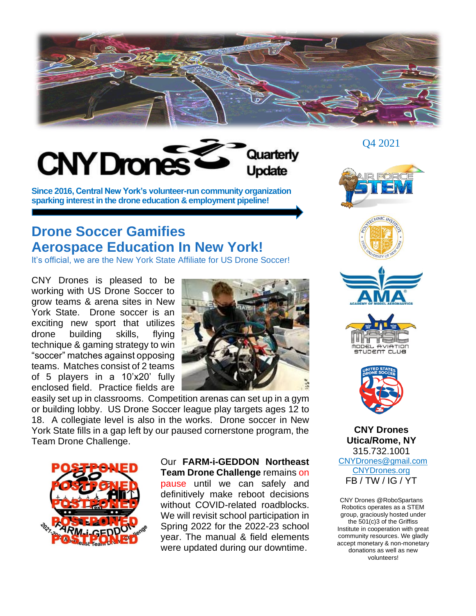



**Since 2016, Central New York's volunteer-run community organization sparking interest in the drone education & employment pipeline!**

## **Drone Soccer Gamifies Aerospace Education In New York!**

It's official, we are the New York State Affiliate for US Drone Soccer!

CNY Drones is pleased to be working with US Drone Soccer to grow teams & arena sites in New York State. Drone soccer is an exciting new sport that utilizes drone building skills, flying technique & gaming strategy to win "soccer" matches against opposing teams. Matches consist of 2 teams of 5 players in a 10'x20' fully enclosed field. Practice fields are



easily set up in classrooms. Competition arenas can set up in a gym or building lobby. US Drone Soccer league play targets ages 12 to 18. A collegiate level is also in the works. Drone soccer in New York State fills in a gap left by our paused cornerstone program, the Team Drone Challenge.



Our **FARM-i-GEDDON Northeast Team Drone Challenge** remains on pause until we can safely and definitively make reboot decisions without COVID-related roadblocks. We will revisit school participation in Spring 2022 for the 2022-23 school year. The manual & field elements were updated during our downtime.

Q4 2021











**CNY Drones Utica/Rome, NY** 315.732.1001 CNYDrones@gmail.com [CNYDrones.org](http://www.cnydrones.org/) FB / TW / IG / YT

CNY Drones @RoboSpartans Robotics operates as a STEM group, graciously hosted under the 501(c)3 of the Griffiss Institute in cooperation with great community resources. We gladly accept monetary & non-monetary donations as well as new volunteers!